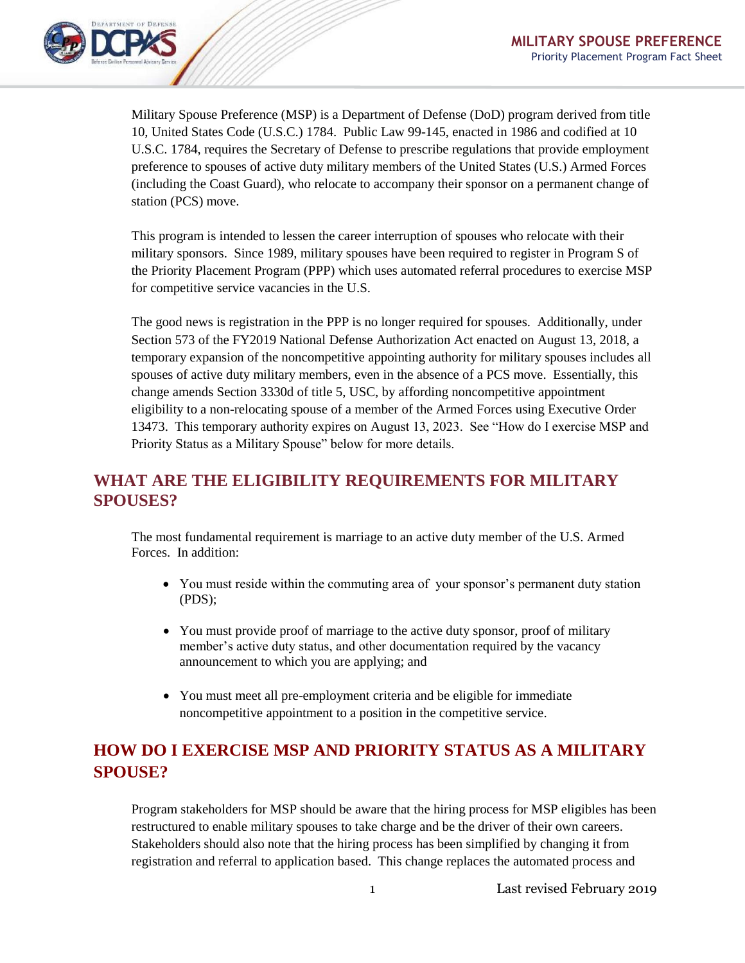

Military Spouse Preference (MSP) is a Department of Defense (DoD) program derived from title 10, United States Code (U.S.C.) 1784. Public Law 99-145, enacted in 1986 and codified at 10 U.S.C. 1784, requires the Secretary of Defense to prescribe regulations that provide employment preference to spouses of active duty military members of the United States (U.S.) Armed Forces (including the Coast Guard), who relocate to accompany their sponsor on a permanent change of station (PCS) move.

This program is intended to lessen the career interruption of spouses who relocate with their military sponsors. Since 1989, military spouses have been required to register in Program S of the Priority Placement Program (PPP) which uses automated referral procedures to exercise MSP for competitive service vacancies in the U.S.

The good news is registration in the PPP is no longer required for spouses. Additionally, under Section 573 of the FY2019 National Defense Authorization Act enacted on August 13, 2018, a temporary expansion of the noncompetitive appointing authority for military spouses includes all spouses of active duty military members, even in the absence of a PCS move. Essentially, this change amends Section 3330d of title 5, USC, by affording noncompetitive appointment eligibility to a non-relocating spouse of a member of the Armed Forces using Executive Order 13473. This temporary authority expires on August 13, 2023. See "How do I exercise MSP and Priority Status as a Military Spouse" below for more details.

### **WHAT ARE THE ELIGIBILITY REQUIREMENTS FOR MILITARY SPOUSES?**

The most fundamental requirement is marriage to an active duty member of the U.S. Armed Forces. In addition:

- You must reside within the commuting area of your sponsor's permanent duty station (PDS);
- You must provide proof of marriage to the active duty sponsor, proof of military member's active duty status, and other documentation required by the vacancy announcement to which you are applying; and
- You must meet all pre-employment criteria and be eligible for immediate noncompetitive appointment to a position in the competitive service.

# **HOW DO I EXERCISE MSP AND PRIORITY STATUS AS A MILITARY SPOUSE?**

Program stakeholders for MSP should be aware that the hiring process for MSP eligibles has been restructured to enable military spouses to take charge and be the driver of their own careers. Stakeholders should also note that the hiring process has been simplified by changing it from registration and referral to application based. This change replaces the automated process and

1 Last revised February 2019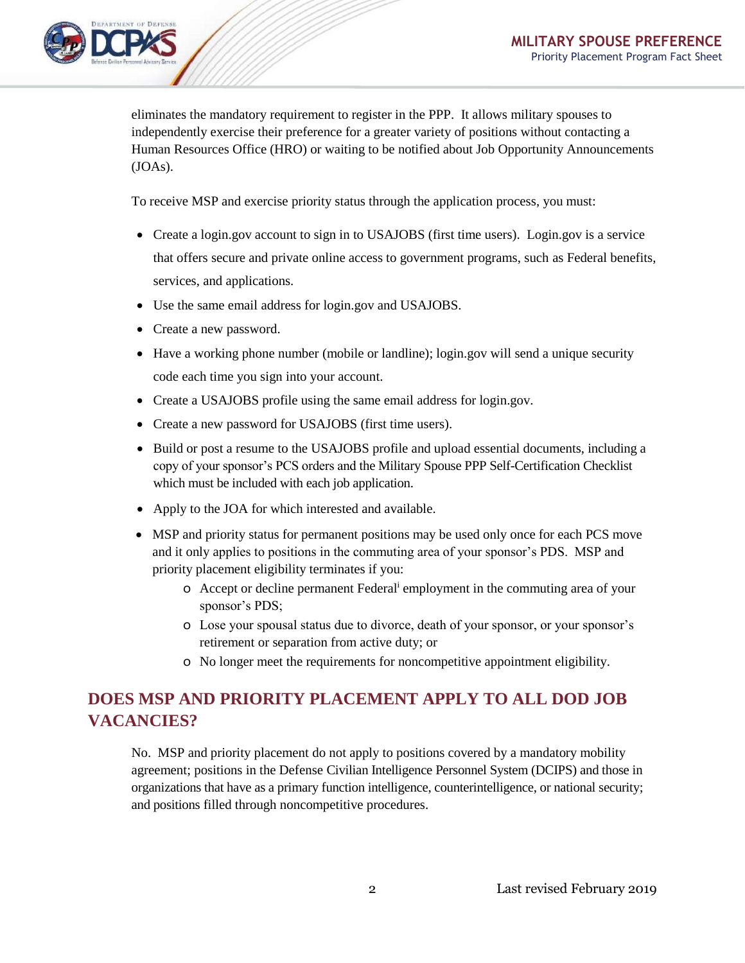

eliminates the mandatory requirement to register in the PPP. It allows military spouses to independently exercise their preference for a greater variety of positions without contacting a Human Resources Office (HRO) or waiting to be notified about Job Opportunity Announcements (JOAs).

To receive MSP and exercise priority status through the application process, you must:

- Create a login.gov account to sign in to USAJOBS (first time users). Login.gov is a service that offers secure and private online access to government programs, such as Federal benefits, services, and applications.
- Use the same email address for login.gov and USAJOBS.
- Create a new password.
- Have a working phone number (mobile or landline); login.gov will send a unique security code each time you sign into your account.
- Create a USAJOBS profile using the same email address for login.gov.
- Create a new password for USAJOBS (first time users).
- Build or post a resume to the USAJOBS profile and upload essential documents, including a copy of your sponsor's PCS orders and the Military Spouse PPP Self-Certification Checklist which must be included with each job application.
- Apply to the JOA for which interested and available.
- MSP and priority status for permanent positions may be used only once for each PCS move and it only applies to positions in the commuting area of your sponsor's PDS. MSP and priority placement eligibility terminates if you:
	- o Accept or decline permanent Federal<sup>i</sup> employment in the commuting area of your sponsor's PDS;
	- o Lose your spousal status due to divorce, death of your sponsor, or your sponsor's retirement or separation from active duty; or
	- o No longer meet the requirements for noncompetitive appointment eligibility.

# **DOES MSP AND PRIORITY PLACEMENT APPLY TO ALL DOD JOB VACANCIES?**

No. MSP and priority placement do not apply to positions covered by a mandatory mobility agreement; positions in the Defense Civilian Intelligence Personnel System (DCIPS) and those in organizations that have as a primary function intelligence, counterintelligence, or national security; and positions filled through noncompetitive procedures.